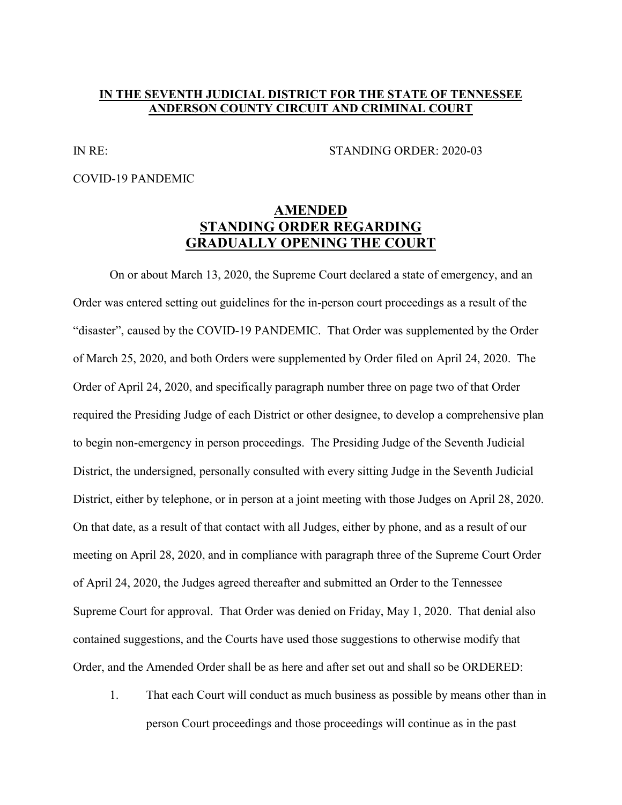## **IN THE SEVENTH JUDICIAL DISTRICT FOR THE STATE OF TENNESSEE ANDERSON COUNTY CIRCUIT AND CRIMINAL COURT**

IN RE: STANDING ORDER: 2020-03

COVID-19 PANDEMIC

## **AMENDED STANDING ORDER REGARDING GRADUALLY OPENING THE COURT**

On or about March 13, 2020, the Supreme Court declared a state of emergency, and an Order was entered setting out guidelines for the in-person court proceedings as a result of the "disaster", caused by the COVID-19 PANDEMIC. That Order was supplemented by the Order of March 25, 2020, and both Orders were supplemented by Order filed on April 24, 2020. The Order of April 24, 2020, and specifically paragraph number three on page two of that Order required the Presiding Judge of each District or other designee, to develop a comprehensive plan to begin non-emergency in person proceedings. The Presiding Judge of the Seventh Judicial District, the undersigned, personally consulted with every sitting Judge in the Seventh Judicial District, either by telephone, or in person at a joint meeting with those Judges on April 28, 2020. On that date, as a result of that contact with all Judges, either by phone, and as a result of our meeting on April 28, 2020, and in compliance with paragraph three of the Supreme Court Order of April 24, 2020, the Judges agreed thereafter and submitted an Order to the Tennessee Supreme Court for approval. That Order was denied on Friday, May 1, 2020. That denial also contained suggestions, and the Courts have used those suggestions to otherwise modify that Order, and the Amended Order shall be as here and after set out and shall so be ORDERED:

1. That each Court will conduct as much business as possible by means other than in person Court proceedings and those proceedings will continue as in the past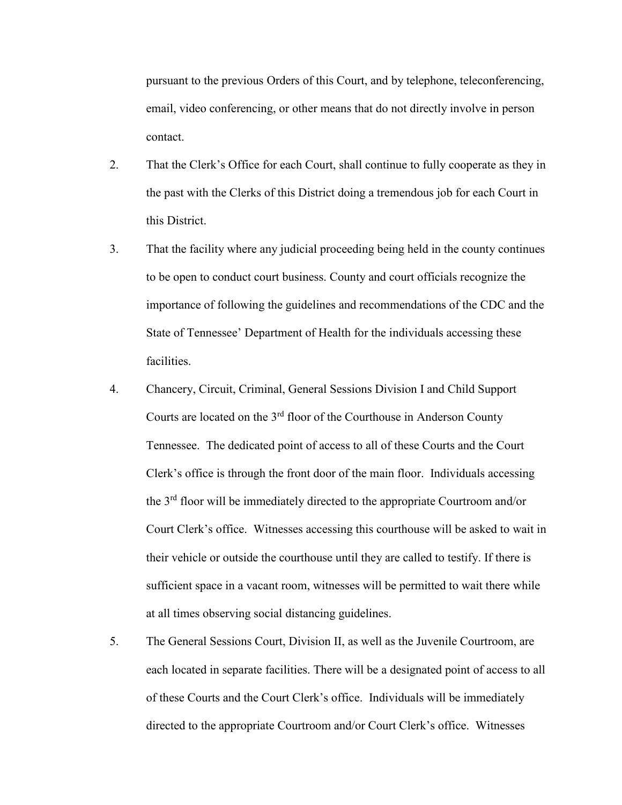pursuant to the previous Orders of this Court, and by telephone, teleconferencing, email, video conferencing, or other means that do not directly involve in person contact.

- 2. That the Clerk's Office for each Court, shall continue to fully cooperate as they in the past with the Clerks of this District doing a tremendous job for each Court in this District.
- 3. That the facility where any judicial proceeding being held in the county continues to be open to conduct court business. County and court officials recognize the importance of following the guidelines and recommendations of the CDC and the State of Tennessee' Department of Health for the individuals accessing these facilities.
- 4. Chancery, Circuit, Criminal, General Sessions Division I and Child Support Courts are located on the 3rd floor of the Courthouse in Anderson County Tennessee. The dedicated point of access to all of these Courts and the Court Clerk's office is through the front door of the main floor. Individuals accessing the 3rd floor will be immediately directed to the appropriate Courtroom and/or Court Clerk's office. Witnesses accessing this courthouse will be asked to wait in their vehicle or outside the courthouse until they are called to testify. If there is sufficient space in a vacant room, witnesses will be permitted to wait there while at all times observing social distancing guidelines.
- 5. The General Sessions Court, Division II, as well as the Juvenile Courtroom, are each located in separate facilities. There will be a designated point of access to all of these Courts and the Court Clerk's office. Individuals will be immediately directed to the appropriate Courtroom and/or Court Clerk's office. Witnesses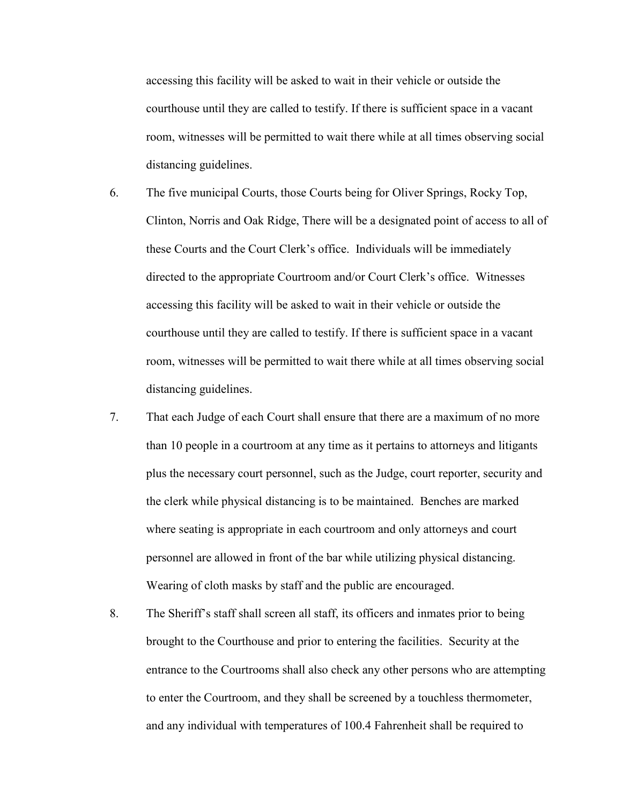accessing this facility will be asked to wait in their vehicle or outside the courthouse until they are called to testify. If there is sufficient space in a vacant room, witnesses will be permitted to wait there while at all times observing social distancing guidelines.

6. The five municipal Courts, those Courts being for Oliver Springs, Rocky Top, Clinton, Norris and Oak Ridge, There will be a designated point of access to all of these Courts and the Court Clerk's office. Individuals will be immediately directed to the appropriate Courtroom and/or Court Clerk's office. Witnesses accessing this facility will be asked to wait in their vehicle or outside the courthouse until they are called to testify. If there is sufficient space in a vacant room, witnesses will be permitted to wait there while at all times observing social distancing guidelines.

- 7. That each Judge of each Court shall ensure that there are a maximum of no more than 10 people in a courtroom at any time as it pertains to attorneys and litigants plus the necessary court personnel, such as the Judge, court reporter, security and the clerk while physical distancing is to be maintained. Benches are marked where seating is appropriate in each courtroom and only attorneys and court personnel are allowed in front of the bar while utilizing physical distancing. Wearing of cloth masks by staff and the public are encouraged.
- 8. The Sheriff's staff shall screen all staff, its officers and inmates prior to being brought to the Courthouse and prior to entering the facilities. Security at the entrance to the Courtrooms shall also check any other persons who are attempting to enter the Courtroom, and they shall be screened by a touchless thermometer, and any individual with temperatures of 100.4 Fahrenheit shall be required to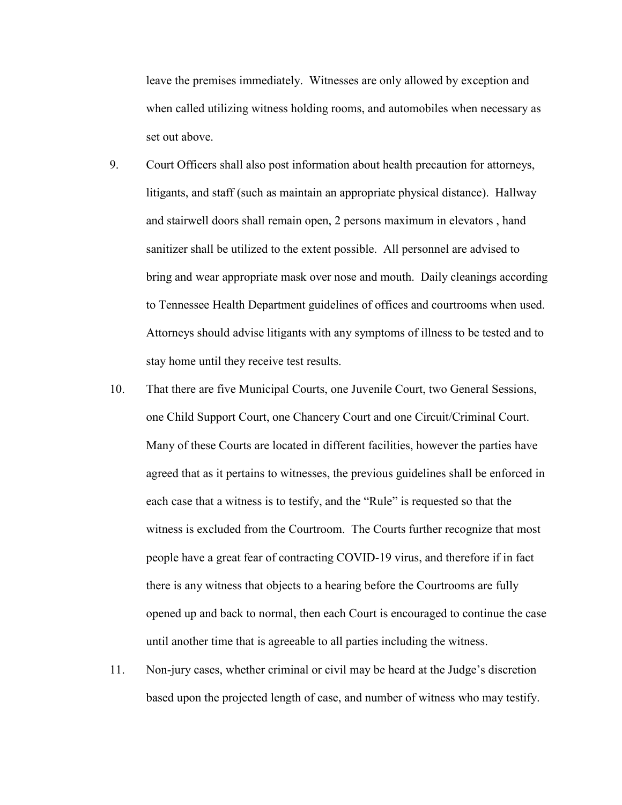leave the premises immediately. Witnesses are only allowed by exception and when called utilizing witness holding rooms, and automobiles when necessary as set out above.

- 9. Court Officers shall also post information about health precaution for attorneys, litigants, and staff (such as maintain an appropriate physical distance). Hallway and stairwell doors shall remain open, 2 persons maximum in elevators , hand sanitizer shall be utilized to the extent possible. All personnel are advised to bring and wear appropriate mask over nose and mouth. Daily cleanings according to Tennessee Health Department guidelines of offices and courtrooms when used. Attorneys should advise litigants with any symptoms of illness to be tested and to stay home until they receive test results.
- 10. That there are five Municipal Courts, one Juvenile Court, two General Sessions, one Child Support Court, one Chancery Court and one Circuit/Criminal Court. Many of these Courts are located in different facilities, however the parties have agreed that as it pertains to witnesses, the previous guidelines shall be enforced in each case that a witness is to testify, and the "Rule" is requested so that the witness is excluded from the Courtroom. The Courts further recognize that most people have a great fear of contracting COVID-19 virus, and therefore if in fact there is any witness that objects to a hearing before the Courtrooms are fully opened up and back to normal, then each Court is encouraged to continue the case until another time that is agreeable to all parties including the witness.
- 11. Non-jury cases, whether criminal or civil may be heard at the Judge's discretion based upon the projected length of case, and number of witness who may testify.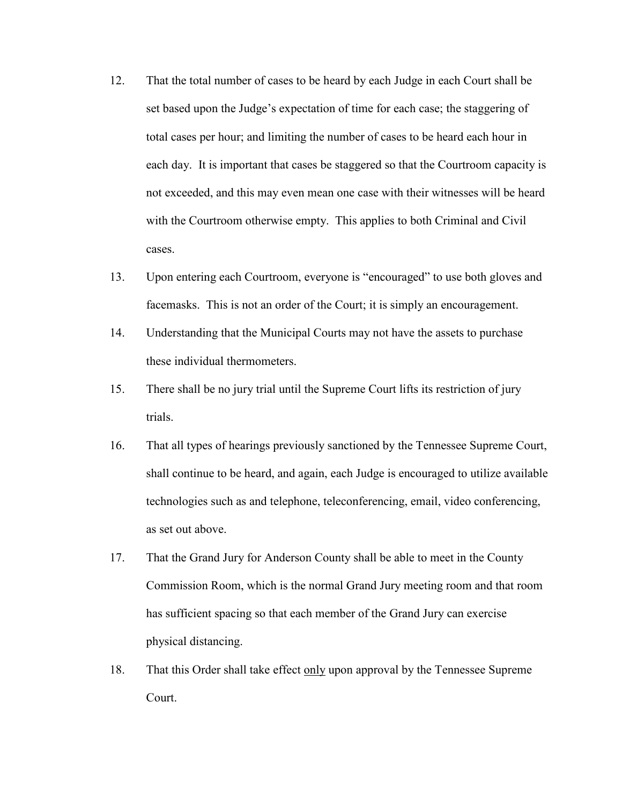- 12. That the total number of cases to be heard by each Judge in each Court shall be set based upon the Judge's expectation of time for each case; the staggering of total cases per hour; and limiting the number of cases to be heard each hour in each day. It is important that cases be staggered so that the Courtroom capacity is not exceeded, and this may even mean one case with their witnesses will be heard with the Courtroom otherwise empty. This applies to both Criminal and Civil cases.
- 13. Upon entering each Courtroom, everyone is "encouraged" to use both gloves and facemasks. This is not an order of the Court; it is simply an encouragement.
- 14. Understanding that the Municipal Courts may not have the assets to purchase these individual thermometers.
- 15. There shall be no jury trial until the Supreme Court lifts its restriction of jury trials.
- 16. That all types of hearings previously sanctioned by the Tennessee Supreme Court, shall continue to be heard, and again, each Judge is encouraged to utilize available technologies such as and telephone, teleconferencing, email, video conferencing, as set out above.
- 17. That the Grand Jury for Anderson County shall be able to meet in the County Commission Room, which is the normal Grand Jury meeting room and that room has sufficient spacing so that each member of the Grand Jury can exercise physical distancing.
- 18. That this Order shall take effect only upon approval by the Tennessee Supreme Court.